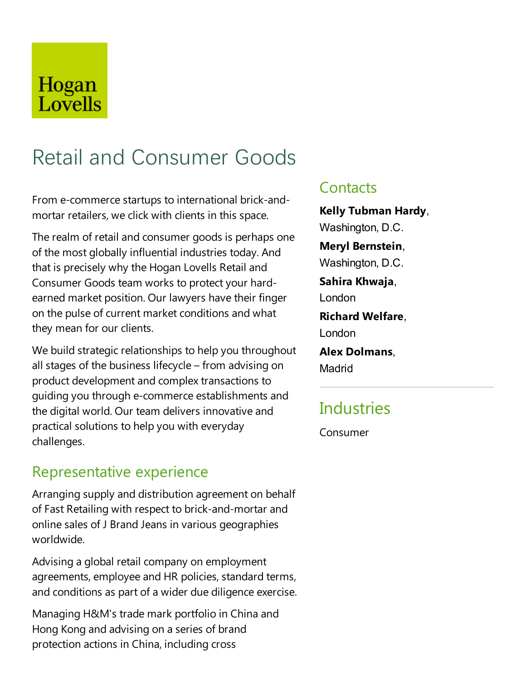# Hogan Lovells

# Retail and Consumer Goods

From e-commerce startups to international brick-andmortar retailers, we click with clients in this space.

The realm of retail and consumer goods is perhaps one of the most globally influential industries today. And that is precisely why the Hogan Lovells Retail and Consumer Goods team works to protect your hardearned market position. Our lawyers have their finger on the pulse of current market conditions and what they mean for our clients.

We build strategic relationships to help you throughout all stages of the business lifecycle– from advising on product development and complex transactions to guiding you through e-commerce establishments and the digital world. Our team delivers innovative and practical solutions to help you with everyday challenges.

## Representative experience

Arranging supply and distribution agreement on behalf of Fast Retailing with respect to brick-and-mortar and online sales of J Brand Jeans in various geographies worldwide.

Advising a global retail company on employment agreements, employee and HR policies, standard terms, and conditions as part of a wider due diligence exercise.

Managing H&M's trade mark portfolio in China and Hong Kong and advising on a series of brand protection actions in China, including cross

### **Contacts**

**Kelly Tubman Hardy**, Washington, D.C. **Meryl Bernstein**, Washington, D.C. **Sahira Khwaja**,

London

**Richard Welfare**, London

**Alex Dolmans**,

Madrid

# **Industries**

Consumer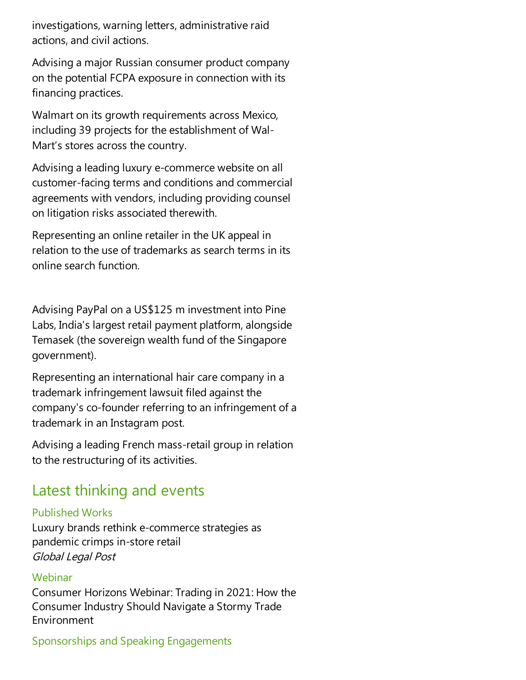investigations, warning letters, administrative raid actions,and civil actions.

Advising a major Russian consumer product company on the potential FCPA exposure in connection with its financing practices.

Walmart on its growth requirements across Mexico, including 39 projects for the establishment of Wal-Mart's stores across the country.

Advising aleading luxury e-commerce website on all customer-facing terms and conditions and commercial agreements with vendors, including providing counsel on litigation risks associated therewith.

Representing an online retailer in the UK appeal in relation to the use of trademarks as search terms in its onlinesearch function.

Advising PayPal on a US\$125 m investment into Pine Labs, India's largest retail payment platform, alongside Temasek (the sovereign wealth fund of the Singapore government).

Representing an international hair care company in a trademark infringement lawsuit filed against the company's co-founder referring to an infringement of a trademark in an Instagram post.

Advising aleading French mass-retail group in relation to the restructuring of its activities.

## Latest thinking and events

#### Published Works

Luxury brands rethink e-commerce strategies as pandemic crimps in-store retail Global Legal Post

#### **Webinar**

Consumer Horizons Webinar:Trading in 2021: How the Consumer Industry Should Navigate a Stormy Trade Environment

#### Sponsorships and Speaking Engagements